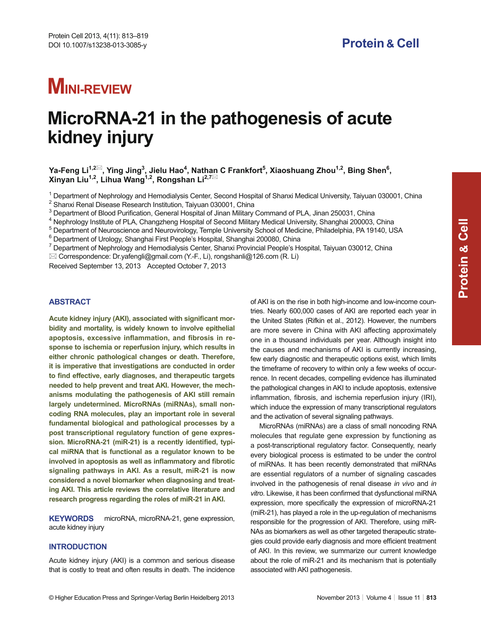# **MINI-REVIEW**

# **MicroRNA-21 in the pathogenesis of acute kidney injury**

Ya-Feng Li<sup>1,2⊠</sup>, Ying Jing<sup>3</sup>, Jielu Hao<sup>4</sup>, Nathan C Frankfort<sup>5</sup>, Xiaoshuang Zhou<sup>1,2</sup>, Bing Shen<sup>6</sup>, Xinyan Liu<sup>1,2</sup>, Lihua Wang<sup>1,2</sup>, Rongshan Li<sup>2,7⊠</sup>

<sup>1</sup> Department of Nephrology and Hemodialysis Center, Second Hospital of Shanxi Medical University, Taiyuan 030001, China

<sup>2</sup> Shanxi Renal Disease Research Institution, Taiyuan 030001, China

 $^3$  Department of Blood Purification, General Hospital of Jinan Military Command of PLA, Jinan 250031, China

4 Nephrology Institute of PLA, Changzheng Hospital of Second Military Medical University, Shanghai 200003, China

<sup>5</sup> Department of Neuroscience and Neurovirology, Temple University School of Medicine, Philadelphia, PA 19140, USA

 $^6$  Department of Urology, Shanghai First People's Hospital, Shanghai 200080, China

<sup>7</sup> Department of Nephrology and Hemodialysis Center, Shanxi Provincial People's Hospital, Taiyuan 030012, China

Correspondence: Dr.yafengli@gmail.com (Y.-F., Li), rongshanli@126.com (R. Li)

Received September 13, 2013 Accepted October 7, 2013

# **ABSTRACT**

**Acute kidney injury (AKI), associated with significant morbidity and mortality, is widely known to involve epithelial apoptosis, excessive inflammation, and fibrosis in response to ischemia or reperfusion injury, which results in either chronic pathological changes or death. Therefore, it is imperative that investigations are conducted in order to fi nd effective, early diagnoses, and therapeutic targets needed to help prevent and treat AKI. However, the mechanisms modulating the pathogenesis of AKI still remain largely undetermined. MicroRNAs (miRNAs), small noncoding RNA molecules, play an important role in several fundamental biological and pathological processes by a post transcriptional regulatory function of gene expres**sion. MicroRNA-21 (miR-21) is a recently identified, typi**cal miRNA that is functional as a regulator known to be involved in apoptosis as well as inflammatory and fi brotic signaling pathways in AKI. As a result, miR-21 is now considered a novel biomarker when diagnosing and treating AKI. This article reviews the correlative literature and research progress regarding the roles of miR-21 in AKI.**

**KEYWORDS** microRNA, microRNA-21, gene expression, acute kidney injury

#### **INTRODUCTION**

Acute kidney injury (AKI) is a common and serious disease that is costly to treat and often results in death. The incidence of AKI is on the rise in both high-income and low-income countries. Nearly 600,000 cases of AKI are reported each year in the United States (Rifkin et al., 2012). However, the numbers are more severe in China with AKI affecting approximately one in a thousand individuals per year. Although insight into the causes and mechanisms of AKI is currently increasing, few early diagnostic and therapeutic options exist, which limits the timeframe of recovery to within only a few weeks of occurrence. In recent decades, compelling evidence has illuminated the pathological changes in AKI to include apoptosis, extensive inflammation, fibrosis, and ischemia reperfusion injury (IRI), which induce the expression of many transcriptional regulators and the activation of several signaling pathways.

MicroRNAs (miRNAs) are a class of small noncoding RNA molecules that regulate gene expression by functioning as a post-transcriptional regulatory factor. Consequently, nearly every biological process is estimated to be under the control of miRNAs. It has been recently demonstrated that miRNAs are essential regulators of a number of signaling cascades involved in the pathogenesis of renal disease *in vivo* and *in*  vitro. Likewise, it has been confirmed that dysfunctional miRNA expression, more specifically the expression of microRNA-21 (miR-21), has played a role in the up-regulation of mechanisms responsible for the progression of AKI. Therefore, using miR-NAs as biomarkers as well as other targeted therapeutic strategies could provide early diagnosis and more efficient treatment of AKI. In this review, we summarize our current knowledge about the role of miR-21 and its mechanism that is potentially associated with AKI pathogenesis.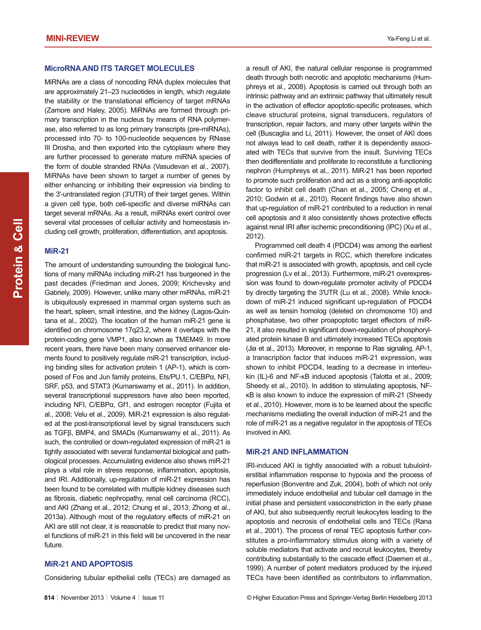MiRNAs are a class of noncoding RNA duplex molecules that are approximately 21–23 nucleotides in length, which regulate the stability or the translational efficiency of target mRNAs (Zamore and Haley, 2005). MiRNAs are formed through primary transcription in the nucleus by means of RNA polymerase, also referred to as long primary transcripts (pre-miRNAs), processed into 70- to 100-nucleotide sequences by RNase III Drosha, and then exported into the cytoplasm where they are further processed to generate mature miRNA species of the form of double stranded RNAs (Vasudevan et al., 2007). MiRNAs have been shown to target a number of genes by either enhancing or inhibiting their expression via binding to the 3'-untranslated region (3'UTR) of their target genes. Within a given cell type, both cell-specific and diverse miRNAs can target several mRNAs. As a result, miRNAs exert control over several vital processes of cellular activity and homeostasis including cell growth, proliferation, differentiation, and apoptosis.

#### **MiR-21**

The amount of understanding surrounding the biological functions of many miRNAs including miR-21 has burgeoned in the past decades (Friedman and Jones, 2009; Krichevsky and Gabriely, 2009). However, unlike many other miRNAs, miR-21 is ubiquitously expressed in mammal organ systems such as the heart, spleen, small intestine, and the kidney (Lagos-Quintana et al., 2002). The location of the human miR-21 gene is identified on chromosome 17q23.2, where it overlaps with the protein-coding gene VMP1, also known as TMEM49. In more recent years, there have been many conserved enhancer elements found to positively regulate miR-21 transcription, including binding sites for activation protein 1 (AP-1), which is composed of Fos and Jun family proteins, Ets/PU.1, C/EBPα, NFI, SRF, p53, and STAT3 (Kumarswamy et al., 2011). In addition, several transcriptional suppressors have also been reported, including NFI, C/EBPα, Gf1, and estrogen receptor (Fujita et al., 2008; Velu et al., 2009). MiR-21 expression is also regulated at the post-transcriptional level by signal transducers such as TGFβ, BMP4, and SMADs (Kumarswamy et al., 2011). As such, the controlled or down-regulated expression of miR-21 is tightly associated with several fundamental biological and pathological processes. Accumulating evidence also shows miR-21 plays a vital role in stress response, inflammation, apoptosis, and IRI. Additionally, up-regulation of miR-21 expression has been found to be correlated with multiple kidney diseases such as fibrosis, diabetic nephropathy, renal cell carcinoma (RCC), and AKI (Zhang et al., 2012; Chung et al., 2013; Zhong et al., 2013a). Although most of the regulatory effects of miR-21 on AKI are still not clear, it is reasonable to predict that many novel functions of miR-21 in this field will be uncovered in the near future.

# **MiR-21 AND APOPTOSIS**

Considering tubular epithelial cells (TECs) are damaged as

a result of AKI, the natural cellular response is programmed death through both necrotic and apoptotic mechanisms (Humphreys et al., 2008). Apoptosis is carried out through both an intrinsic pathway and an extrinsic pathway that ultimately result in the activation of effector apoptotic-specific proteases, which cleave structural proteins, signal transducers, regulators of transcription, repair factors, and many other targets within the cell (Buscaglia and Li, 2011). However, the onset of AKI does not always lead to cell death, rather it is dependently associated with TECs that survive from the insult. Surviving TECs then dedifferentiate and proliferate to reconstitute a functioning nephron (Humphreys et al., 2011). MiR-21 has been reported to promote such proliferation and act as a strong anti-apoptotic factor to inhibit cell death (Chan et al., 2005; Cheng et al., 2010; Godwin et al., 2010). Recent findings have also shown that up-regulation of miR-21 contributed to a reduction in renal cell apoptosis and it also consistently shows protective effects against renal IRI after ischemic preconditioning (IPC) (Xu et al., 2012).

Programmed cell death 4 (PDCD4) was among the earliest confirmed miR-21 targets in RCC, which therefore indicates that miR-21 is associated with growth, apoptosis, and cell cycle progression (Lv et al., 2013). Furthermore, miR-21 overexpression was found to down-regulate promoter activity of PDCD4 by directly targeting the 3′UTR (Lu et al., 2008). While knockdown of miR-21 induced significant up-regulation of PDCD4 as well as tensin homolog (deleted on chromosome 10) and phosphatase, two other proapoptotic target effectors of miR-21, it also resulted in significant down-regulation of phosphorylated protein kinase B and ultimately increased TECs apoptosis (Jia et al., 2013). Moreover, in response to Ras signaling, AP-1, a transcription factor that induces miR-21 expression, was shown to inhibit PDCD4, leading to a decrease in interleukin (IL)-6 and NF-κB induced apoptosis (Talotta et al., 2009; Sheedy et al., 2010). In addition to stimulating apoptosis, NFκB is also known to induce the expression of miR-21 (Sheedy et al., 2010). However, more is to be learned about the specific mechanisms mediating the overall induction of miR-21 and the role of miR-21 as a negative regulator in the apoptosis of TECs involved in AKI.

#### **MiR-21 AND INFLAMMATION**

IRI-induced AKI is tightly associated with a robust tubulointerstitial inflammation response to hypoxia and the process of reperfusion (Bonventre and Zuk, 2004), both of which not only immediately induce endothelial and tubular cell damage in the initial phase and persistent vasoconstriction in the early phase of AKI, but also subsequently recruit leukocytes leading to the apoptosis and necrosis of endothelial cells and TECs (Rana et al., 2001). The process of renal TEC apoptosis further constitutes a pro-inflammatory stimulus along with a variety of soluble mediators that activate and recruit leukocytes, thereby contributing substantially to the cascade effect (Daemen et al., 1999). A number of potent mediators produced by the injured TECs have been identified as contributors to inflammation,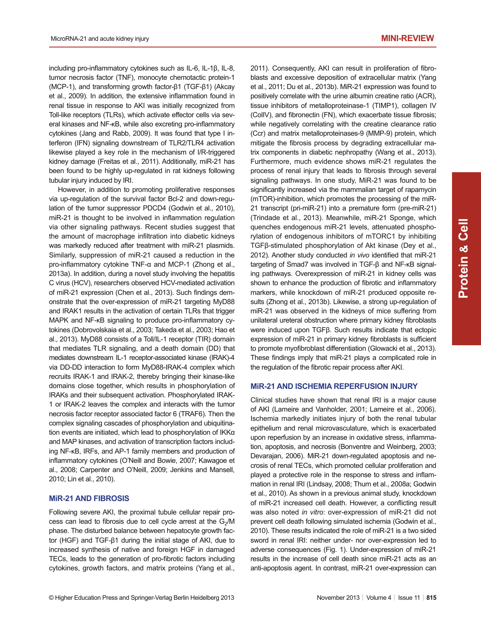including pro-inflammatory cytokines such as IL-6, IL-1β, IL-8, tumor necrosis factor (TNF), monocyte chemotactic protein-1 (MCP-1), and transforming growth factor-β1 (TGF-β1) (Akcay et al., 2009). In addition, the extensive inflammation found in renal tissue in response to AKI was initially recognized from Toll-like receptors (TLRs), which activate effector cells via several kinases and NF-κB, while also excreting pro-inflammatory cytokines (Jang and Rabb, 2009). It was found that type I interferon (IFN) signaling downstream of TLR2/TLR4 activation likewise played a key role in the mechanism of I/R-triggered kidney damage (Freitas et al., 2011). Additionally, miR-21 has been found to be highly up-regulated in rat kidneys following tubular injury induced by IRI.

However, in addition to promoting proliferative responses via up-regulation of the survival factor Bcl-2 and down-regulation of the tumor suppressor PDCD4 (Godwin et al., 2010), miR-21 is thought to be involved in inflammation regulation via other signaling pathways. Recent studies suggest that the amount of macrophage infiltration into diabetic kidneys was markedly reduced after treatment with miR-21 plasmids. Similarly, suppression of miR-21 caused a reduction in the pro-inflammatory cytokine TNF-α and MCP-1 (Zhong et al., 2013a). In addition, during a novel study involving the hepatitis C virus (HCV), researchers observed HCV-mediated activation of miR-21 expression (Chen et al., 2013). Such findings demonstrate that the over-expression of miR-21 targeting MyD88 and IRAK1 results in the activation of certain TLRs that trigger MAPK and NF-KB signaling to produce pro-inflammatory cytokines (Dobrovolskaia et al., 2003; Takeda et al., 2003; Hao et al., 2013). MyD88 consists of a Toll/IL-1 receptor (TIR) domain that mediates TLR signaling, and a death domain (DD) that mediates downstream IL-1 receptor-associated kinase (IRAK)-4 via DD-DD interaction to form MyD88-IRAK-4 complex which recruits IRAK-1 and IRAK-2, thereby bringing their kinase-like domains close together, which results in phosphorylation of IRAKs and their subsequent activation. Phosphorylated IRAK-1 or IRAK-2 leaves the complex and interacts with the tumor necrosis factor receptor associated factor 6 (TRAF6). Then the complex signaling cascades of phosphorylation and ubiquitination events are initiated, which lead to phosphorylation of IKKα and MAP kinases, and activation of transcription factors including NF-κB, IRFs, and AP-1 family members and production of inflammatory cytokines (O'Neill and Bowie, 2007; Kawagoe et al., 2008; Carpenter and O'Neill, 2009; Jenkins and Mansell, 2010; Lin et al., 2010).

### **MiR-21 AND FIBROSIS**

Following severe AKI, the proximal tubule cellular repair process can lead to fibrosis due to cell cycle arrest at the  $G_2/M$ phase. The disturbed balance between hepatocyte growth factor (HGF) and TGF-β1 during the initial stage of AKI, due to increased synthesis of native and foreign HGF in damaged TECs, leads to the generation of pro-fibrotic factors including cytokines, growth factors, and matrix proteins (Yang et al., 2011). Consequently, AKI can result in proliferation of fibroblasts and excessive deposition of extracellular matrix (Yang et al., 2011; Du et al., 2013b). MiR-21 expression was found to positively correlate with the urine albumin creatine ratio (ACR), tissue inhibitors of metalloproteinase-1 (TIMP1), collagen IV (ColIV), and fibronectin (FN), which exacerbate tissue fibrosis; while negatively correlating with the creatine clearance ratio (Ccr) and matrix metalloproteinases-9 (MMP-9) protein, which mitigate the fibrosis process by degrading extracellular matrix components in diabetic nephropathy (Wang et al., 2013). Furthermore, much evidence shows miR-21 regulates the process of renal injury that leads to fibrosis through several signaling pathways. In one study, MiR-21 was found to be significantly increased via the mammalian target of rapamycin (mTOR)-inhibition, which promotes the processing of the miR-21 transcript (pri-miR-21) into a premature form (pre-miR-21) (Trindade et al., 2013). Meanwhile, miR-21 Sponge, which quenches endogenous miR-21 levels, attenuated phosphorylation of endogenous inhibitors of mTORC1 by inhibiting TGFβ-stimulated phosphorylation of Akt kinase (Dey et al., 2012). Another study conducted *in vivo* identified that miR-21 targeting of Smad7 was involved in TGF-β and NF-κB signaling pathways. Overexpression of miR-21 in kidney cells was shown to enhance the production of fibrotic and inflammatory markers, while knockdown of miR-21 produced opposite results (Zhong et al., 2013b). Likewise, a strong up-regulation of miR-21 was observed in the kidneys of mice suffering from unilateral ureteral obstruction where primary kidney fibroblasts were induced upon TGFβ. Such results indicate that ectopic expression of miR-21 in primary kidney fibroblasts is sufficient to promote myofibroblast differentiation (Glowacki et al., 2013). These findings imply that miR-21 plays a complicated role in the regulation of the fibrotic repair process after AKI.

#### **MiR-21 AND ISCHEMIA REPERFUSION INJURY**

Clinical studies have shown that renal IRI is a major cause of AKI (Lameire and Vanholder, 2001; Lameire et al., 2006). Ischemia markedly initiates injury of both the renal tubular epithelium and renal microvasculature, which is exacerbated upon reperfusion by an increase in oxidative stress, inflammation, apoptosis, and necrosis (Bonventre and Weinberg, 2003; Devarajan, 2006). MiR-21 down-regulated apoptosis and necrosis of renal TECs, which promoted cellular proliferation and played a protective role in the response to stress and inflammation in renal IRI (Lindsay, 2008; Thum et al., 2008a; Godwin et al., 2010). As shown in a previous animal study, knockdown of miR-21 increased cell death. However, a conflicting result was also noted *in vitro*: over-expression of miR-21 did not prevent cell death following simulated ischemia (Godwin et al., 2010). These results indicated the role of miR-21 is a two sided sword in renal IRI: neither under- nor over-expression led to adverse consequences (Fig. 1). Under-expression of miR-21 results in the increase of cell death since miR-21 acts as an anti-apoptosis agent. In contrast, miR-21 over-expression can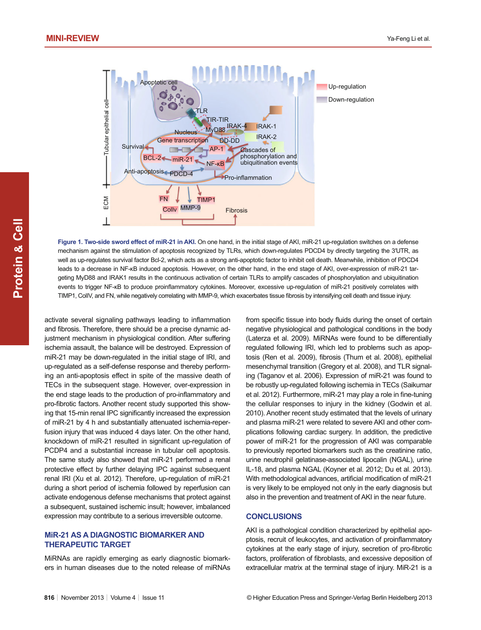

**Figure 1. Two-side sword effect of miR-21 in AKI.** On one hand, in the initial stage of AKI, miR-21 up-regulation switches on a defense mechanism against the stimulation of apoptosis recognized by TLRs, which down-regulates PDCD4 by directly targeting the 3′UTR, as well as up-regulates survival factor Bcl-2, which acts as a strong anti-apoptotic factor to inhibit cell death. Meanwhile, inhibition of PDCD4 leads to a decrease in NF-κB induced apoptosis. However, on the other hand, in the end stage of AKI, over-expression of miR-21 targeting MyD88 and IRAK1 results in the continuous activation of certain TLRs to amplify cascades of phosphorylation and ubiquitination events to trigger NF-KB to produce proinflammatory cytokines. Moreover, excessive up-regulation of miR-21 positively correlates with TIMP1, ColIV, and FN, while negatively correlating with MMP-9, which exacerbates tissue fibrosis by intensifying cell death and tissue injury.

activate several signaling pathways leading to inflammation and fibrosis. Therefore, there should be a precise dynamic adjustment mechanism in physiological condition. After suffering ischemia assault, the balance will be destroyed. Expression of miR-21 may be down-regulated in the initial stage of IRI, and up-regulated as a self-defense response and thereby performing an anti-apoptosis effect in spite of the massive death of TECs in the subsequent stage. However, over-expression in the end stage leads to the production of pro-inflammatory and pro-fibrotic factors. Another recent study supported this showing that 15-min renal IPC significantly increased the expression of miR-21 by 4 h and substantially attenuated ischemia-reperfusion injury that was induced 4 days later. On the other hand, knockdown of miR-21 resulted in significant up-regulation of PCDP4 and a substantial increase in tubular cell apoptosis. The same study also showed that miR-21 performed a renal protective effect by further delaying IPC against subsequent renal IRI (Xu et al. 2012). Therefore, up-regulation of miR-21 during a short period of ischemia followed by reperfusion can activate endogenous defense mechanisms that protect against a subsequent, sustained ischemic insult; however, imbalanced expression may contribute to a serious irreversible outcome.

#### **MiR-21 AS A DIAGNOSTIC BIOMARKER AND THERAPEUTIC TARGET**

MiRNAs are rapidly emerging as early diagnostic biomarkers in human diseases due to the noted release of miRNAs from specific tissue into body fluids during the onset of certain negative physiological and pathological conditions in the body (Laterza et al. 2009). MiRNAs were found to be differentially regulated following IRI, which led to problems such as apoptosis (Ren et al. 2009), fibrosis (Thum et al. 2008), epithelial mesenchymal transition (Gregory et al. 2008), and TLR signaling (Taganov et al. 2006). Expression of miR-21 was found to be robustly up-regulated following ischemia in TECs (Saikumar et al. 2012). Furthermore, miR-21 may play a role in fine-tuning the cellular responses to injury in the kidney (Godwin et al. 2010). Another recent study estimated that the levels of urinary and plasma miR-21 were related to severe AKI and other complications following cardiac surgery. In addition, the predictive power of miR-21 for the progression of AKI was comparable to previously reported biomarkers such as the creatinine ratio, urine neutrophil gelatinase-associated lipocalin (NGAL), urine IL-18, and plasma NGAL (Koyner et al. 2012; Du et al. 2013). With methodological advances, artificial modification of miR-21 is very likely to be employed not only in the early diagnosis but also in the prevention and treatment of AKI in the near future.

#### **CONCLUSIONS**

AKI is a pathological condition characterized by epithelial apoptosis, recruit of leukocytes, and activation of proinflammatory cytokines at the early stage of injury, secretion of pro-fibrotic factors, proliferation of fibroblasts, and excessive deposition of extracellular matrix at the terminal stage of injury. MiR-21 is a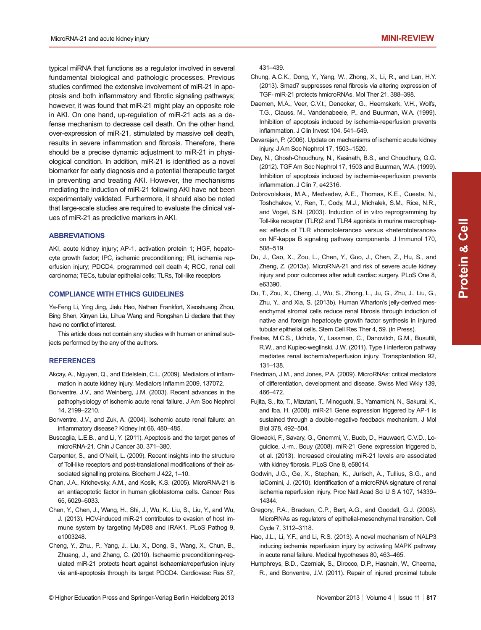typical miRNA that functions as a regulator involved in several fundamental biological and pathologic processes. Previous studies confirmed the extensive involvement of miR-21 in apoptosis and both inflammatory and fibrotic signaling pathways; however, it was found that miR-21 might play an opposite role in AKI. On one hand, up-regulation of miR-21 acts as a defense mechanism to decrease cell death. On the other hand, over-expression of miR-21, stimulated by massive cell death, results in severe inflammation and fibrosis. Therefore, there should be a precise dynamic adjustment to miR-21 in physiological condition. In addition, miR-21 is identified as a novel biomarker for early diagnosis and a potential therapeutic target in preventing and treating AKI. However, the mechanisms mediating the induction of miR-21 following AKI have not been experimentally validated. Furthermore, it should also be noted that large-scale studies are required to evaluate the clinical values of miR-21 as predictive markers in AKI.

#### **ABBREVIATIONS**

AKI, acute kidney injury; AP-1, activation protein 1; HGF, hepatocyte growth factor; IPC, ischemic preconditioning; IRI, ischemia reperfusion injury; PDCD4, programmed cell death 4; RCC, renal cell carcinoma; TECs, tubular epithelial cells; TLRs, Toll-like receptors

#### **COMPLIANCE WITH ETHICS GUIDELINES**

Ya-Feng Li, Ying Jing, Jielu Hao, Nathan Frankfort, Xiaoshuang Zhou, Bing Shen, Xinyan Liu, Lihua Wang and Rongshan Li declare that they have no conflict of interest.

This article does not contain any studies with human or animal subjects performed by the any of the authors.

#### **REFERENCES**

- Akcay, A., Nguyen, Q., and Edelstein, C.L. (2009). Mediators of inflammation in acute kidney injury. Mediators Inflamm 2009, 137072.
- Bonventre, J.V., and Weinberg, J.M. (2003). Recent advances in the pathophysiology of ischemic acute renal failure. J Am Soc Nephrol 14, 2199–2210.
- Bonventre, J.V., and Zuk, A. (2004). Ischemic acute renal failure: an inflammatory disease? Kidney Int 66, 480-485.
- Buscaglia, L.E.B., and Li, Y. (2011). Apoptosis and the target genes of microRNA-21. Chin J Cancer 30, 371–380.
- Carpenter, S., and O'Neill, L. (2009). Recent insights into the structure of Toll-like receptors and post-translational modifications of their associated signalling proteins. Biochem J 422, 1–10.
- Chan, J.A., Krichevsky, A.M., and Kosik, K.S. (2005). MicroRNA-21 is an antiapoptotic factor in human glioblastoma cells. Cancer Res 65, 6029–6033.
- Chen, Y., Chen, J., Wang, H., Shi, J., Wu, K., Liu, S., Liu, Y., and Wu, J. (2013). HCV-induced miR-21 contributes to evasion of host immune system by targeting MyD88 and IRAK1. PLoS Pathog 9, e1003248.
- Cheng, Y., Zhu., P., Yang, J., Liu, X., Dong, S., Wang, X., Chun, B., Zhuang, J., and Zhang, C. (2010). Ischaemic preconditioning-regulated miR-21 protects heart against ischaemia/reperfusion injury via anti-apoptosis through its target PDCD4. Cardiovasc Res 87,

431–439.

- Chung, A.C.K., Dong, Y., Yang, W., Zhong, X., Li, R., and Lan, H.Y. (2013). Smad7 suppresses renal fibrosis via altering expression of TGF- miR-21 protects hmicroRNAs. Mol Ther 21, 388–398.
- Daemen, M.A., Veer, C.V.t., Denecker, G., Heemskerk, V.H., Wolfs, T.G., Clauss, M., Vandenabeele, P., and Buurman, W.A. (1999). Inhibition of apoptosis induced by ischemia-reperfusion prevents inflammation. J Clin Invest 104, 541-549.
- Devarajan, P. (2006). Update on mechanisms of ischemic acute kidney injury. J Am Soc Nephrol 17, 1503–1520.
- Dey, N., Ghosh-Choudhury, N., Kasinath, B.S., and Choudhury, G.G. (2012). TGF Am Soc Nephrol 17, 1503 and Buurman, W.A. (1999). Inhibition of apoptosis induced by ischemia-reperfusion prevents inflammation. J Clin 7, e42316.
- Dobrovolskaia, M.A., Medvedev, A.E., Thomas, K.E., Cuesta, N., Toshchakov, V., Ren, T., Cody, M.J., Michalek, S.M., Rice, N.R., and Vogel, S.N. (2003). Induction of in vitro reprogramming by Toll-like receptor (TLR)2 and TLR4 agonists in murine macrophages: effects of TLR «homotolerance» versus «heterotolerance» on NF-kappa B signaling pathway components. J Immunol 170, 508–519.
- Du, J., Cao, X., Zou, L., Chen, Y., Guo, J., Chen, Z., Hu, S., and Zheng, Z. (2013a). MicroRNA-21 and risk of severe acute kidney injury and poor outcomes after adult cardiac surgery. PLoS One 8, e63390.
- Du, T., Zou, X., Cheng, J., Wu, S., Zhong, L., Ju, G., Zhu, J., Liu, G., Zhu, Y., and Xia, S. (2013b). Human Wharton's jelly-derived mesenchymal stromal cells reduce renal fibrosis through induction of native and foreign hepatocyte growth factor synthesis in injured tubular epithelial cells. Stem Cell Res Ther 4, 59. (In Press).
- Freitas, M.C.S., Uchida, Y., Lassman, C., Danovitch, G.M., Busuttil, R.W., and Kupiec-weglinski, J.W. (2011).Type I interferon pathway mediates renal ischemia/reperfusion injury. Transplantation 92, 131–138.
- Friedman, J.M., and Jones, P.A. (2009). MicroRNAs: critical mediators of differentiation, development and disease. Swiss Med Wkly 139, 466–472.
- Fujita, S., Ito, T., Mizutani, T., Minoguchi, S., Yamamichi, N., Sakurai, K., and Iba, H. (2008). miR-21 Gene expression triggered by AP-1 is sustained through a double-negative feedback mechanism. J Mol Biol 378, 492–504.
- Glowacki, F., Savary, G., Gnemmi, V., Buob, D., Hauwaert, C.V.D., Loguidice, J.-m., Bouy (2008). miR-21 Gene expression triggered b, et al. (2013). Increased circulating miR-21 levels are associated with kidney fibrosis. PLoS One 8, e58014.
- Godwin, J.G., Ge, X., Stephan, K., Jurisch, A., Tullius, S.G., and IaComini, J. (2010). Identification of a microRNA signature of renal ischemia reperfusion injury. Proc Natl Acad Sci U S A 107, 14339– 14344.
- Gregory, P.A., Bracken, C.P., Bert, A.G., and Goodall, G.J. (2008). MicroRNAs as regulators of epithelial-mesenchymal transition. Cell Cycle 7, 3112–3118.
- Hao, J.L., Li, Y.F., and Li, R.S. (2013). A novel mechanism of NALP3 inducing ischemia reperfusion injury by activating MAPK pathway in acute renal failure. Medical hypotheses 80, 463–465.
- Humphreys, B.D., Czerniak, S., Dirocco, D.P., Hasnain, W., Cheema, R., and Bonventre, J.V. (2011). Repair of injured proximal tubule

**Protein Cell &**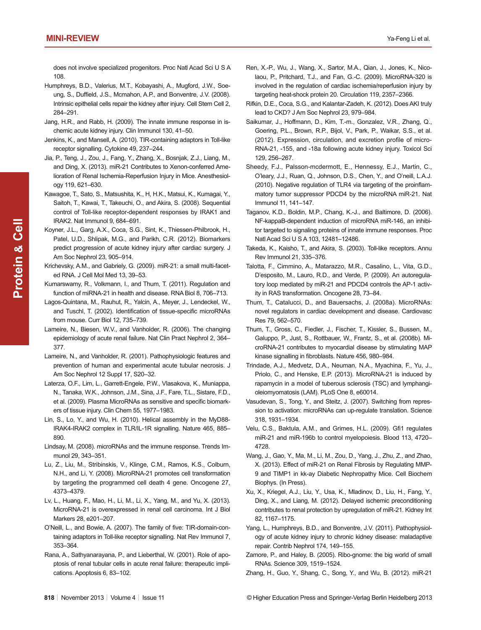does not involve specialized progenitors. Proc Natl Acad Sci U S A 108.

- Humphreys, B.D., Valerius, M.T., Kobayashi, A., Mugford, J.W., Soeung, S., Duffield, J.S., Mcmahon, A.P., and Bonventre, J.V. (2008). Intrinsic epithelial cells repair the kidney after injury. Cell Stem Cell 2, 284–291.
- Jang, H.R., and Rabb, H. (2009). The innate immune response in ischemic acute kidney injury. Clin Immunol 130, 41–50.
- Jenkins, K., and Mansell, A. (2010). TIR-containing adaptors in Toll-like receptor signalling. Cytokine 49, 237–244.
- Jia, P., Teng, J., Zou, J., Fang, Y., Zhang, X., Bosnjak, Z.J., Liang, M., and Ding, X. (2013). miR-21 Contributes to Xenon-conferred Amelioration of Renal Ischemia-Reperfusion Injury in Mice. Anesthesiology 119, 621–630.
- Kawagoe, T., Sato, S., Matsushita, K., H, H.K., Matsui, K., Kumagai, Y., Saitoh, T., Kawai, T., Takeuchi, O., and Akira, S. (2008). Sequential control of Toll-like receptor-dependent responses by IRAK1 and IRAK2. Nat Immunol 9, 684–691.
- Koyner, J.L., Garg, A.X., Coca, S.G., Sint, K., Thiessen-Philbrook, H., Patel, U.D., Shlipak, M.G., and Parikh, C.R. (2012). Biomarkers predict progression of acute kidney injury after cardiac surgery. J Am Soc Nephrol 23, 905–914.
- Krichevsky, A.M., and Gabriely, G. (2009). miR-21: a small multi-faceted RNA. J Cell Mol Med 13, 39–53.
- Kumarswamy, R., Volkmann, I., and Thum, T. (2011). Regulation and function of miRNA-21 in health and disease. RNA Biol 8, 706–713.
- Lagos-Quintana, M., Rauhut, R., Yalcin, A., Meyer, J., Lendeckel, W., and Tuschl, T. (2002). Identification of tissue-specific microRNAs from mouse. Curr Biol 12, 735–739.
- Lameire, N., Biesen, W.V., and Vanholder, R. (2006). The changing epidemiology of acute renal failure. Nat Clin Pract Nephrol 2, 364– 377.
- Lameire, N., and Vanholder, R. (2001). Pathophysiologic features and prevention of human and experimental acute tubular necrosis. J Am Soc Nephrol 12 Suppl 17, S20–32.
- Laterza, O.F., Lim, L., Garrett-Engele, P.W., Vlasakova, K., Muniappa, N., Tanaka, W.K., Johnson, J.M., Sina, J.F., Fare, T.L., Sistare, F.D., et al. (2009). Plasma MicroRNAs as sensitive and specific biomarkers of tissue injury. Clin Chem 55, 1977–1983.
- Lin, S., Lo, Y., and Wu, H. (2010). Helical assembly in the MyD88- IRAK4-IRAK2 complex in TLR/IL-1R signalling. Nature 465, 885– 890.
- Lindsay, M. (2008). microRNAs and the immune response. Trends Immunol 29, 343–351.
- Lu, Z., Liu, M., Stribinskis, V., Klinge, C.M., Ramos, K.S., Colburn, N.H., and Li, Y. (2008). MicroRNA-21 promotes cell transformation by targeting the programmed cell death 4 gene. Oncogene 27, 4373–4379.
- Lv, L., Huang, F., Mao, H., Li, M., Li, X., Yang, M., and Yu, X. (2013). MicroRNA-21 is overexpressed in renal cell carcinoma. Int J Biol Markers 28, e201–207.
- O'Neill, L., and Bowie, A. (2007). The family of five: TIR-domain-containing adaptors in Toll-like receptor signalling. Nat Rev Immunol 7, 353–364.
- Rana, A., Sathyanarayana, P., and Lieberthal, W. (2001). Role of apoptosis of renal tubular cells in acute renal failure: therapeutic implications. Apoptosis 6, 83–102.
- Ren, X.-P., Wu, J., Wang, X., Sartor, M.A., Qian, J., Jones, K., Nicolaou, P., Pritchard, T.J., and Fan, G.-C. (2009). MicroRNA-320 is involved in the regulation of cardiac ischemia/reperfusion injury by targeting heat-shock protein 20. Circulation 119, 2357–2366.
- Rifkin, D.E., Coca, S.G., and Kalantar-Zadeh, K. (2012). Does AKI truly lead to CKD? J Am Soc Nephrol 23, 979–984.
- Saikumar, J., Hoffmann, D., Kim, T.-m., Gonzalez, V.R., Zhang, Q., Goering, P.L., Brown, R.P., Bijol, V., Park, P., Waikar, S.S., et al. (2012). Expression, circulation, and excretion profile of micro-RNA-21, -155, and -18a following acute kidney injury. Toxicol Sci 129, 256–267.
- Sheedy, F.J., Palsson-mcdermott, E., Hennessy, E.J., Martin, C., O'leary, J.J., Ruan, Q., Johnson, D.S., Chen, Y., and O'neill, L.A.J. (2010). Negative regulation of TLR4 via targeting of the proinflammatory tumor suppressor PDCD4 by the microRNA miR-21. Nat Immunol 11, 141–147.
- Taganov, K.D., Boldin, M.P., Chang, K.-J., and Baltimore, D. (2006). NF-kappaB-dependent induction of microRNA miR-146, an inhibitor targeted to signaling proteins of innate immune responses. Proc Natl Acad Sci U S A 103, 12481–12486.
- Takeda, K., Kaisho, T., and Akira, S. (2003). Toll-like receptors. Annu Rev Immunol 21, 335–376.
- Talotta, F., Cimmino, A., Matarazzo, M.R., Casalino, L., Vita, G.D., D'esposito, M., Lauro, R.D., and Verde, P. (2009). An autoregulatory loop mediated by miR-21 and PDCD4 controls the AP-1 activity in RAS transformation. Oncogene 28, 73–84.
- Thum, T., Catalucci, D., and Bauersachs, J. (2008a). MicroRNAs: novel regulators in cardiac development and disease. Cardiovasc Res 79, 562–570.
- Thum, T., Gross, C., Fiedler, J., Fischer, T., Kissler, S., Bussen, M., Galuppo, P., Just, S., Rottbauer, W., Frantz, S., et al. (2008b). MicroRNA-21 contributes to myocardial disease by stimulating MAP kinase signalling in fibroblasts. Nature 456, 980-984.
- Trindade, A.J., Medvetz, D.A., Neuman, N.A., Myachina, F., Yu, J., Priolo, C., and Henske, E.P. (2013). MicroRNA-21 is induced by rapamycin in a model of tuberous sclerosis (TSC) and lymphangioleiomyomatosis (LAM). PLoS One 8, e60014.
- Vasudevan, S., Tong, Y., and Steitz, J. (2007). Switching from repression to activation: microRNAs can up-regulate translation. Science 318, 1931–1934.
- Velu, C.S., Baktula, A.M., and Grimes, H.L. (2009). Gfi1 regulates miR-21 and miR-196b to control myelopoiesis. Blood 113, 4720– 4728.
- Wang, J., Gao, Y., Ma, M., Li, M., Zou, D., Yang, J., Zhu, Z., and Zhao, X. (2013).Effect of miR-21 on Renal Fibrosis by Regulating MMP-9 and TIMP1 in kk-ay Diabetic Nephropathy Mice. Cell Biochem Biophys. (In Press).
- Xu, X., Kriegel, A.J., Liu, Y., Usa, K., Mladinov, D., Liu, H., Fang, Y., Ding, X., and Liang, M. (2012). Delayed ischemic preconditioning contributes to renal protection by upregulation of miR-21. Kidney Int 82, 1167–1175.
- Yang, L., Humphreys, B.D., and Bonventre, J.V. (2011). Pathophysiology of acute kidney injury to chronic kidney disease: maladaptive repair. Contrib Nephrol 174, 149–155.
- Zamore, P., and Haley, B. (2005). Ribo-gnome: the big world of small RNAs. Science 309, 1519–1524.

Zhang, H., Guo, Y., Shang, C., Song, Y., and Wu, B. (2012).miR-21